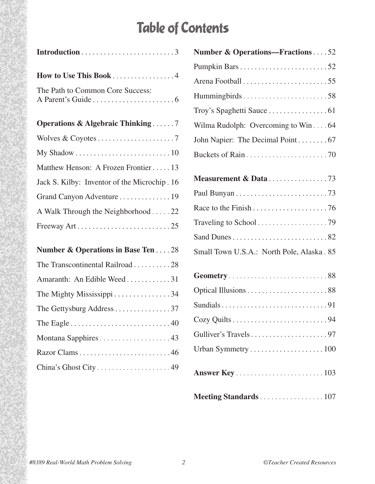# Table of Contents

| How to Use This Book 4                       |
|----------------------------------------------|
| The Path to Common Core Success:             |
| <b>Operations &amp; Algebraic Thinking7</b>  |
|                                              |
|                                              |
| Matthew Henson: A Frozen Frontier13          |
| Jack S. Kilby: Inventor of the Microchip. 16 |
| Grand Canyon Adventure 19                    |
| A Walk Through the Neighborhood 22           |
|                                              |
| <b>Number &amp; Operations in Base Ten28</b> |
| The Transcontinental Railroad 28             |
| Amaranth: An Edible Weed31                   |
| The Mighty Mississippi 34                    |
| The Gettysburg Address 37                    |
|                                              |
|                                              |
|                                              |
| China's Ghost City 49                        |

| <b>Number &amp; Operations-Fractions52</b> |  |
|--------------------------------------------|--|
|                                            |  |
|                                            |  |
| Hummingbirds58                             |  |
|                                            |  |
| Wilma Rudolph: Overcoming to Win 64        |  |
| John Napier: The Decimal Point 67          |  |
|                                            |  |
|                                            |  |
|                                            |  |
|                                            |  |
|                                            |  |
| Sand Dunes82                               |  |
| Small Town U.S.A.: North Pole, Alaska. 85  |  |
|                                            |  |
|                                            |  |
|                                            |  |
|                                            |  |
|                                            |  |
|                                            |  |
|                                            |  |
| Meeting Standards107                       |  |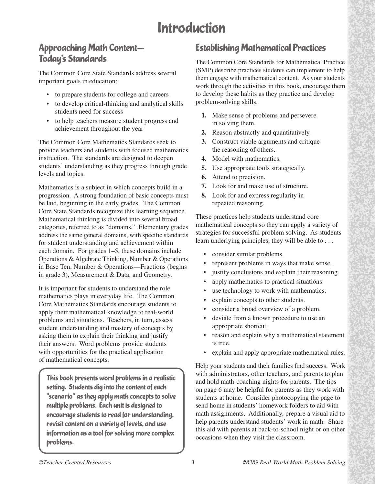# Introduction

#### Approaching Math Content— Today's Standards

The Common Core State Standards address several important goals in education:

- • to prepare students for college and careers
- • to develop critical-thinking and analytical skills students need for success
- • to help teachers measure student progress and achievement throughout the year

The Common Core Mathematics Standards seek to provide teachers and students with focused mathematics instruction. The standards are designed to deepen students' understanding as they progress through grade levels and topics.

Mathematics is a subject in which concepts build in a progression. A strong foundation of basic concepts must be laid, beginning in the early grades. The Common Core State Standards recognize this learning sequence. Mathematical thinking is divided into several broad categories, referred to as "domains." Elementary grades address the same general domains, with specific standards for student understanding and achievement within each domain. For grades 1–5, these domains include Operations & Algebraic Thinking, Number & Operations in Base Ten, Number & Operations—Fractions (begins in grade 3), Measurement & Data, and Geometry.

It is important for students to understand the role mathematics plays in everyday life. The Common Core Mathematics Standards encourage students to apply their mathematical knowledge to real-world problems and situations. Teachers, in turn, assess student understanding and mastery of concepts by asking them to explain their thinking and justify their answers. Word problems provide students with opportunities for the practical application of mathematical concepts.

This book presents word problems in a realistic setting. Students dig into the content of each "scenario" as they apply math concepts to solve multiple problems. Each unit is designed to encourage students to read for understanding, revisit content on a variety of levels, and use information as a tool for solving more complex problems.

### Establishing Mathematical Practices

The Common Core Standards for Mathematical Practice (SMP) describe practices students can implement to help them engage with mathematical content. As your students work through the activities in this book, encourage them to develop these habits as they practice and develop problem-solving skills.

- **1.** Make sense of problems and persevere in solving them.
- **2.** Reason abstractly and quantitatively.
- **3.** Construct viable arguments and critique the reasoning of others.
- **4.** Model with mathematics.
- **5.** Use appropriate tools strategically.
- **6.** Attend to precision.
- **7.** Look for and make use of structure.
- **8.** Look for and express regularity in repeated reasoning.

These practices help students understand core mathematical concepts so they can apply a variety of strategies for successful problem solving. As students learn underlying principles, they will be able to . . .

- consider similar problems.
- represent problems in ways that make sense.
- justify conclusions and explain their reasoning.
- apply mathematics to practical situations.
- use technology to work with mathematics.
- explain concepts to other students.
- consider a broad overview of a problem.
- deviate from a known procedure to use an appropriate shortcut.
- reason and explain why a mathematical statement is true.
- • explain and apply appropriate mathematical rules.

Help your students and their families find success. Work with administrators, other teachers, and parents to plan and hold math-coaching nights for parents. The tips on page 6 may be helpful for parents as they work with students at home. Consider photocopying the page to send home in students' homework folders to aid with math assignments. Additionally, prepare a visual aid to help parents understand students' work in math. Share this aid with parents at back-to-school night or on other occasions when they visit the classroom.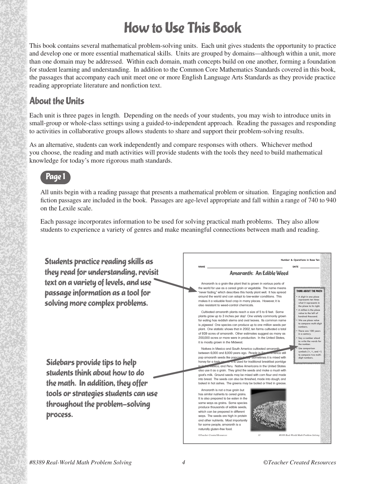# How to Use This Book

This book contains several mathematical problem-solving units. Each unit gives students the opportunity to practice and develop one or more essential mathematical skills. Units are grouped by domains—although within a unit, more than one domain may be addressed. Within each domain, math concepts build on one another, forming a foundation for student learning and understanding. In addition to the Common Core Mathematics Standards covered in this book, the passages that accompany each unit meet one or more English Language Arts Standards as they provide practice reading appropriate literature and nonfiction text.

#### About the Units

Each unit is three pages in length. Depending on the needs of your students, you may wish to introduce units in small-group or whole-class settings using a guided-to-independent approach. Reading the passages and responding to activities in collaborative groups allows students to share and support their problem-solving results.

As an alternative, students can work independently and compare responses with others. Whichever method you choose, the reading and math activities will provide students with the tools they need to build mathematical knowledge for today's more rigorous math standards.

#### Page 1

All units begin with a reading passage that presents a mathematical problem or situation. Engaging nonfiction and fiction passages are included in the book. Passages are age-level appropriate and fall within a range of 740 to 940 on the Lexile scale.

Each passage incorporates information to be used for solving practical math problems. They also allow students to experience a variety of genres and make meaningful connections between math and reading.

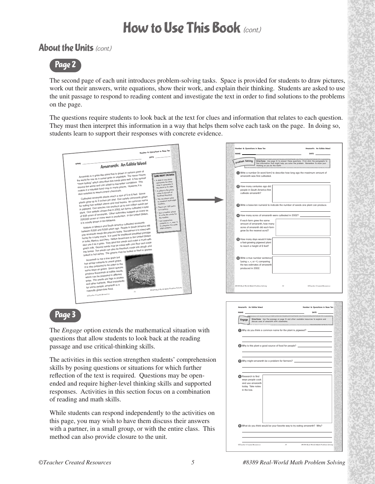## How to Use This Book (cont.)

#### About the Units (cont.)



The second page of each unit introduces problem-solving tasks. Space is provided for students to draw pictures, work out their answers, write equations, show their work, and explain their thinking. Students are asked to use the unit passage to respond to reading content and investigate the text in order to find solutions to the problems on the page.

The questions require students to look back at the text for clues and information that relates to each question. They must then interpret this information in a way that helps them solve each task on the page. In doing so, students learn to support their responses with concrete evidence.



passage and use critical-thinking skills.

The activities in this section strengthen students' comprehension skills by posing questions or situations for which further reflection of the text is required. Questions may be openended and require higher-level thinking skills and supported responses. Activities in this section focus on a combination of reading and math skills.

While students can respond independently to the activities on this page, you may wish to have them discuss their answers with a partner, in a small group, or with the entire class. This method can also provide closure to the unit.

| Amaranth: An Edible Weed<br><b>NAME</b>                                                      | Number & Operations in Base Ten<br>DATE<br><b>MENDELLA HARANTARIO LEGERIA</b>       |
|----------------------------------------------------------------------------------------------|-------------------------------------------------------------------------------------|
| Engage<br>discuss uses of amaranth with classmates.                                          | Directions: Use the passage on page 31 and other available resources to explore and |
|                                                                                              | Why do you think a common name for the plant is <i>pigweed</i> ?                    |
|                                                                                              | Why is this plant a good source of food for people?                                 |
|                                                                                              | Why might amaranth be a problem for farmers?                                        |
| Research to find<br>ways people cook<br>and use amaranth<br>today. Take notes<br>in the hox. |                                                                                     |
|                                                                                              |                                                                                     |
| What do you think would be your favorite way to try eating amaranth? Why?                    |                                                                                     |
| OTeacher Created Resources<br>33                                                             | #8389 Real-World Math Problem Solving                                               |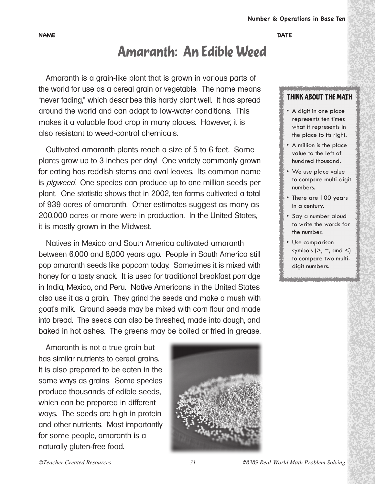**NAME DATE** 

### Amaranth: An Edible Weed

Amaranth is a grain-like plant that is grown in various parts of the world for use as a cereal grain or vegetable. The name means "never fading," which describes this hardy plant well. It has spread around the world and can adapt to low-water conditions. This makes it a valuable food crop in many places. However, it is also resistant to weed-control chemicals.

Cultivated amaranth plants reach a size of 5 to 6 feet. Some plants grow up to 3 inches per day! One variety commonly grown for eating has reddish stems and oval leaves. Its common name is *pigweed*. One species can produce up to one million seeds per plant. One statistic shows that in 2002, ten farms cultivated a total of 939 acres of amaranth. Other estimates suggest as many as 200,000 acres or more were in production. In the United States, it is mostly grown in the Midwest.

Natives in Mexico and South America cultivated amaranth between 6,000 and 8,000 years ago. People in South America still pop amaranth seeds like popcorn today. Sometimes it is mixed with honey for a tasty snack. It is used for traditional breakfast porridge in India, Mexico, and Peru. Native Americans in the United States also use it as a grain. They grind the seeds and make a mush with goat's milk. Ground seeds may be mixed with corn flour and made into bread. The seeds can also be threshed, made into dough, and baked in hot ashes. The greens may be boiled or fried in grease.

Amaranth is not a true grain but has similar nutrients to cereal grains. It is also prepared to be eaten in the same ways as grains. Some species produce thousands of edible seeds, which can be prepared in different ways. The seeds are high in protein and other nutrients. Most importantly for some people, amaranth is a naturally gluten-free food.



#### THINK ABOUT THE MATH

- A digit in one place represents ten times what it represents in the place to its right.
- A million is the place value to the left of hundred thousand.
- • We use place value to compare multi-digit numbers.
- There are 100 years in a century.
- • Say a number aloud to write the words for the number.
- • Use comparison symbols  $(>$ ,  $=$ , and  $\leq$ ) to compare two multidigit numbers.

a shekara ta 1989 a wakati wa 1989.<br>Matukio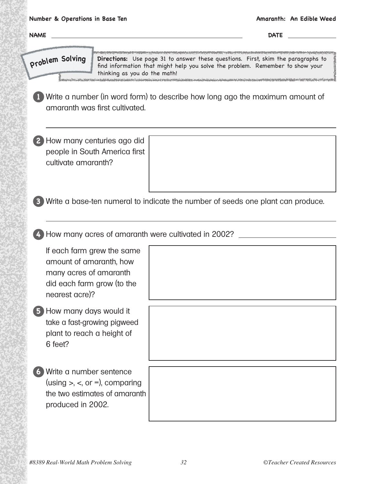**Number & Operations in Base Ten Amaranth: An Edible Weed NAME DATE**  .<br>Terrang pada terapat dan panggunan pada sebagai pang pada tahun 1999. Pada tahun 1999 dan menjadi kelah terapa **<sup>P</sup>roble<sup>m</sup> <sup>S</sup>olvi<sup>n</sup><sup>g</sup> Directions:** Use page 31 to answer these questions. First, skim the paragraphs to find information that might help you solve the problem. Remember to show your thinking as you do the math!**1** Write a number (in word form) to describe how long ago the maximum amount of amaranth was first cultivated. **2** How many centuries ago did people in South America first cultivate amaranth? **3** Write a base-ten numeral to indicate the number of seeds one plant can produce. **4** How many acres of amaranth were cultivated in 2002? If each farm grew the same amount of amaranth, how many acres of amaranth did each farm grow (to the nearest acre)? **5** How many days would it take a fast-growing pigweed plant to reach a height of 6 feet? **6** Write a number sentence (using  $>$ ,  $<$ , or  $=$ ), comparing the two estimates of amaranth produced in 2002.